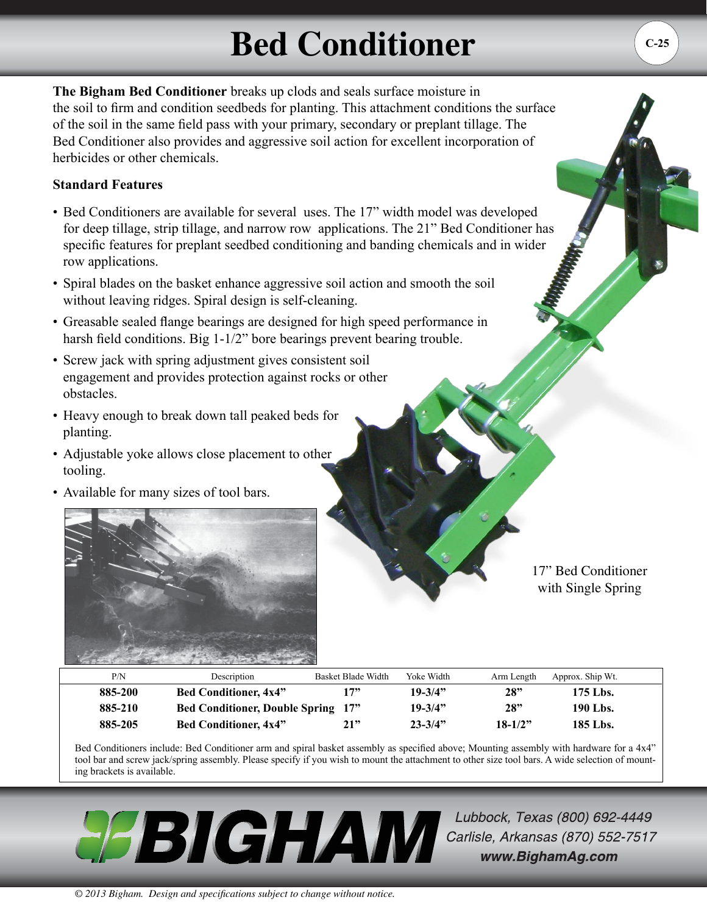## **Bed Conditioner**

**The Bigham Bed Conditioner** breaks up clods and seals surface moisture in the soil to firm and condition seedbeds for planting. This attachment conditions the surface of the soil in the same field pass with your primary, secondary or preplant tillage. The Bed Conditioner also provides and aggressive soil action for excellent incorporation of herbicides or other chemicals.

## **Standard Features**

- Bed Conditioners are available for several uses. The 17" width model was developed for deep tillage, strip tillage, and narrow row applications. The 21" Bed Conditioner has specific features for preplant seedbed conditioning and banding chemicals and in wider row applications.
- Spiral blades on the basket enhance aggressive soil action and smooth the soil without leaving ridges. Spiral design is self-cleaning.
- Greasable sealed flange bearings are designed for high speed performance in harsh field conditions. Big 1-1/2" bore bearings prevent bearing trouble.
- Screw jack with spring adjustment gives consistent soil engagement and provides protection against rocks or other obstacles.
- Heavy enough to break down tall peaked beds for planting.
- Adjustable yoke allows close placement to other tooling.
- Available for many sizes of tool bars.



17" Bed Conditioner with Single Spring

| P/N     | Description                        | Basket Blade Width | Yoke Width  | Arm Length | Approx. Ship Wt. |  |
|---------|------------------------------------|--------------------|-------------|------------|------------------|--|
| 885-200 | <b>Bed Conditioner, 4x4"</b>       | 17"                | $19 - 3/4"$ | 28"        | 175 Lbs.         |  |
| 885-210 | Bed Conditioner, Double Spring 17" |                    | $19 - 3/4"$ | 28"        | 190 Lbs.         |  |
| 885-205 | <b>Bed Conditioner, 4x4"</b>       | 21"                | $23 - 3/4"$ | $18-1/2"$  | 185 Lbs.         |  |

Bed Conditioners include: Bed Conditioner arm and spiral basket assembly as specified above; Mounting assembly with hardware for a 4x4" tool bar and screw jack/spring assembly. Please specify if you wish to mount the attachment to other size tool bars. A wide selection of mounting brackets is available.



Lubbock, Texas (800) 692-4449 Carlisle, Arkansas (870) 552-7517 www.BighamAg.com